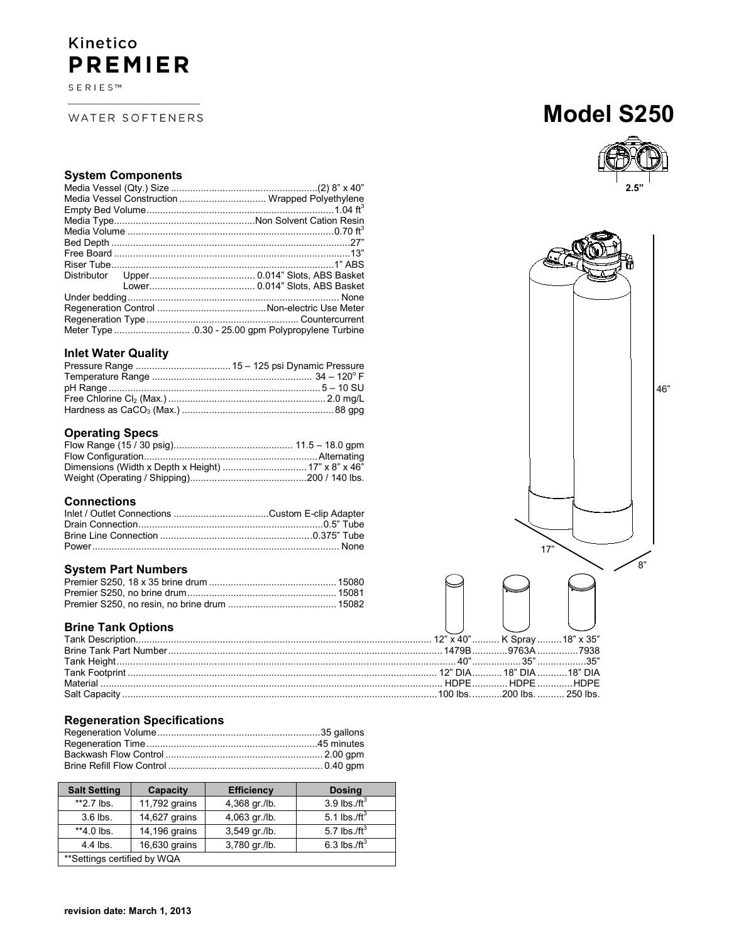# Kinetico **PREMIER**

SERIES™

WATER SOFTENERS

# **Model S250**



## **System Components**

|  |  | Media Vessel Construction  Wrapped Polyethylene |
|--|--|-------------------------------------------------|
|  |  |                                                 |
|  |  |                                                 |
|  |  |                                                 |
|  |  |                                                 |
|  |  |                                                 |
|  |  |                                                 |
|  |  |                                                 |
|  |  |                                                 |
|  |  |                                                 |
|  |  |                                                 |
|  |  |                                                 |
|  |  |                                                 |
|  |  |                                                 |

# **Inlet Water Quality**

# **Operating Specs**

# **Connections**

## **System Part Numbers**

# **Brine Tank Options**

# **Regeneration Specifications**

| <b>Salt Setting</b>          | Capacity      | <b>Efficiency</b> | <b>Dosing</b>    |
|------------------------------|---------------|-------------------|------------------|
| $*2.7$ lbs.                  | 11,792 grains | 4,368 gr./lb.     | 3.9 lbs./ $ft^3$ |
| $3.6$ lbs.                   | 14,627 grains | 4,063 gr./lb.     | 5.1 lbs./ft $3$  |
| **4.0 lbs.                   | 14,196 grains | 3,549 gr./lb.     | 5.7 lbs./ $ft^3$ |
| 4.4 lbs.                     | 16,630 grains | 3,780 gr./lb.     | 6.3 lbs./ft $3$  |
| ** Settings certified by WQA |               |                   |                  |



**revision date: March 1, 2013**